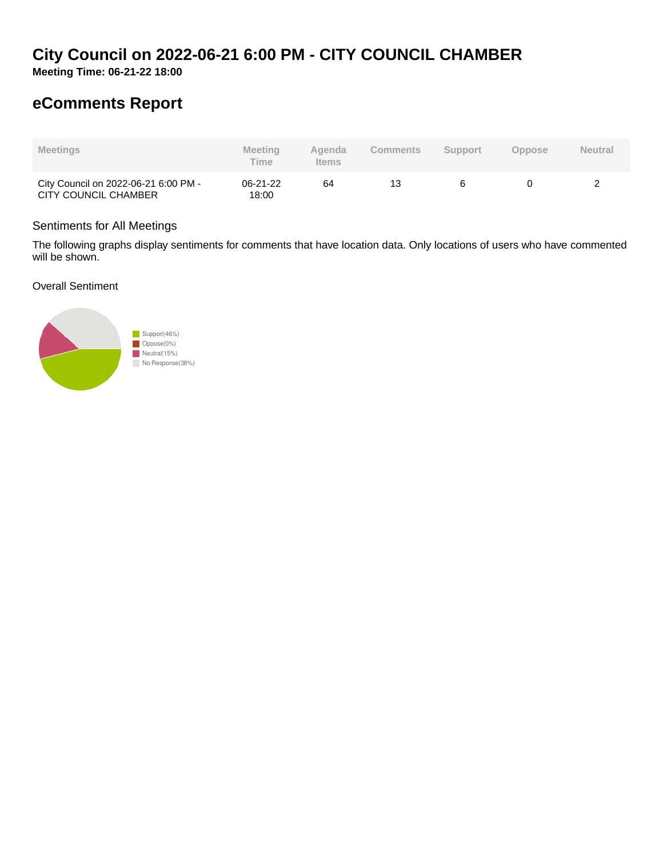# **City Council on 2022-06-21 6:00 PM - CITY COUNCIL CHAMBER**

**Meeting Time: 06-21-22 18:00**

# **eComments Report**

| <b>Meetings</b>                                              | Meeting<br><b>Time</b> | Agenda<br><b>Items</b> | Comments | <b>Support</b> | Oppose | <b>Neutral</b> |
|--------------------------------------------------------------|------------------------|------------------------|----------|----------------|--------|----------------|
| City Council on 2022-06-21 6:00 PM -<br>CITY COUNCIL CHAMBER | 06-21-22<br>18:00      | 64                     | 13       |                |        |                |

## Sentiments for All Meetings

The following graphs display sentiments for comments that have location data. Only locations of users who have commented will be shown.

Overall Sentiment

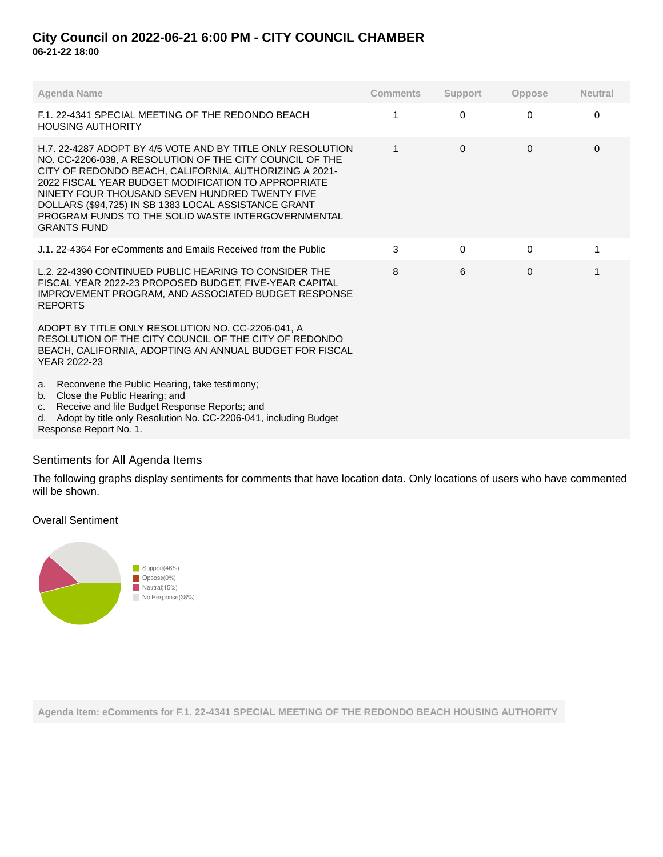## **City Council on 2022-06-21 6:00 PM - CITY COUNCIL CHAMBER 06-21-22 18:00**

| <b>Agenda Name</b>                                                                                                                                                                                                                                                                                                                                                                                                             | <b>Comments</b> | <b>Support</b> | <b>Oppose</b> | <b>Neutral</b> |
|--------------------------------------------------------------------------------------------------------------------------------------------------------------------------------------------------------------------------------------------------------------------------------------------------------------------------------------------------------------------------------------------------------------------------------|-----------------|----------------|---------------|----------------|
| F.1. 22-4341 SPECIAL MEETING OF THE REDONDO BEACH<br><b>HOUSING AUTHORITY</b>                                                                                                                                                                                                                                                                                                                                                  | 1               | $\Omega$       | $\Omega$      | $\Omega$       |
| H.7, 22-4287 ADOPT BY 4/5 VOTE AND BY TITLE ONLY RESOLUTION<br>NO. CC-2206-038, A RESOLUTION OF THE CITY COUNCIL OF THE<br>CITY OF REDONDO BEACH, CALIFORNIA, AUTHORIZING A 2021-<br>2022 FISCAL YEAR BUDGET MODIFICATION TO APPROPRIATE<br>NINETY FOUR THOUSAND SEVEN HUNDRED TWENTY FIVE<br>DOLLARS (\$94,725) IN SB 1383 LOCAL ASSISTANCE GRANT<br>PROGRAM FUNDS TO THE SOLID WASTE INTERGOVERNMENTAL<br><b>GRANTS FUND</b> | 1               | $\Omega$       | $\Omega$      | $\Omega$       |
| J.1, 22-4364 For eComments and Emails Received from the Public                                                                                                                                                                                                                                                                                                                                                                 | 3               | $\Omega$       | 0             |                |
| L.2. 22-4390 CONTINUED PUBLIC HEARING TO CONSIDER THE<br>FISCAL YEAR 2022-23 PROPOSED BUDGET, FIVE-YEAR CAPITAL<br><b>IMPROVEMENT PROGRAM, AND ASSOCIATED BUDGET RESPONSE</b><br><b>REPORTS</b>                                                                                                                                                                                                                                | 8               | 6              | $\Omega$      |                |
| ADOPT BY TITLE ONLY RESOLUTION NO. CC-2206-041. A<br>RESOLUTION OF THE CITY COUNCIL OF THE CITY OF REDONDO<br>BEACH, CALIFORNIA, ADOPTING AN ANNUAL BUDGET FOR FISCAL<br>YEAR 2022-23                                                                                                                                                                                                                                          |                 |                |               |                |
| Reconvene the Public Hearing, take testimony;<br>a.<br>Close the Public Hearing; and<br>b.<br>Receive and file Budget Response Reports; and<br>C.<br>Adopt by title only Resolution No. CC-2206-041, including Budget<br>d.<br>Response Report No. 1.                                                                                                                                                                          |                 |                |               |                |

## Sentiments for All Agenda Items

The following graphs display sentiments for comments that have location data. Only locations of users who have commented will be shown.

## Overall Sentiment



**Agenda Item: eComments for F.1. 22-4341 SPECIAL MEETING OF THE REDONDO BEACH HOUSING AUTHORITY**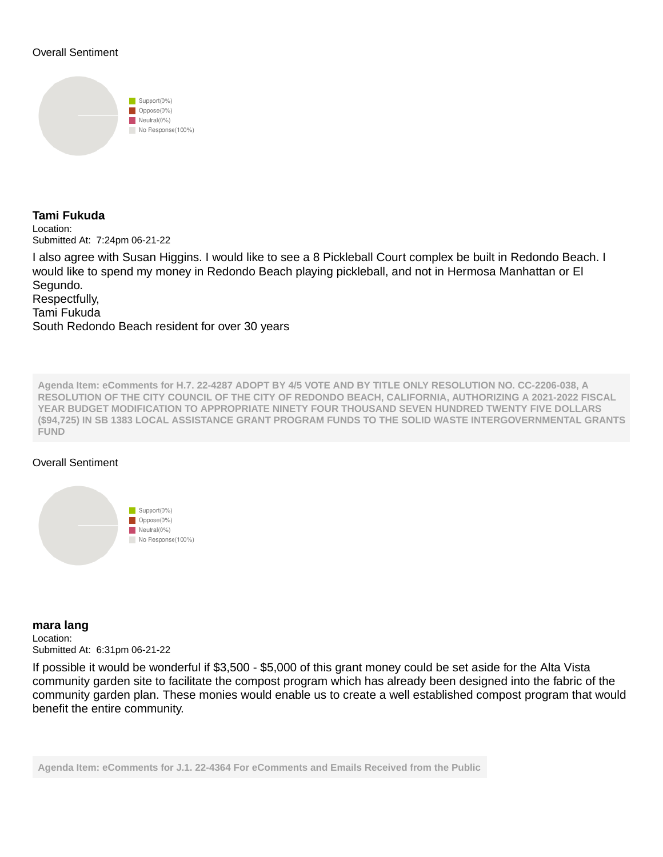### Overall Sentiment



# **Tami Fukuda** Location: Submitted At: 7:24pm 06-21-22

I also agree with Susan Higgins. I would like to see a 8 Pickleball Court complex be built in Redondo Beach. I would like to spend my money in Redondo Beach playing pickleball, and not in Hermosa Manhattan or El Segundo. Respectfully,

Tami Fukuda South Redondo Beach resident for over 30 years

**Agenda Item: eComments for H.7. 22-4287 ADOPT BY 4/5 VOTE AND BY TITLE ONLY RESOLUTION NO. CC-2206-038, A RESOLUTION OF THE CITY COUNCIL OF THE CITY OF REDONDO BEACH, CALIFORNIA, AUTHORIZING A 2021-2022 FISCAL YEAR BUDGET MODIFICATION TO APPROPRIATE NINETY FOUR THOUSAND SEVEN HUNDRED TWENTY FIVE DOLLARS (\$94,725) IN SB 1383 LOCAL ASSISTANCE GRANT PROGRAM FUNDS TO THE SOLID WASTE INTERGOVERNMENTAL GRANTS FUND**

## Overall Sentiment



**mara lang** Location: Submitted At: 6:31pm 06-21-22

If possible it would be wonderful if \$3,500 - \$5,000 of this grant money could be set aside for the Alta Vista community garden site to facilitate the compost program which has already been designed into the fabric of the community garden plan. These monies would enable us to create a well established compost program that would benefit the entire community.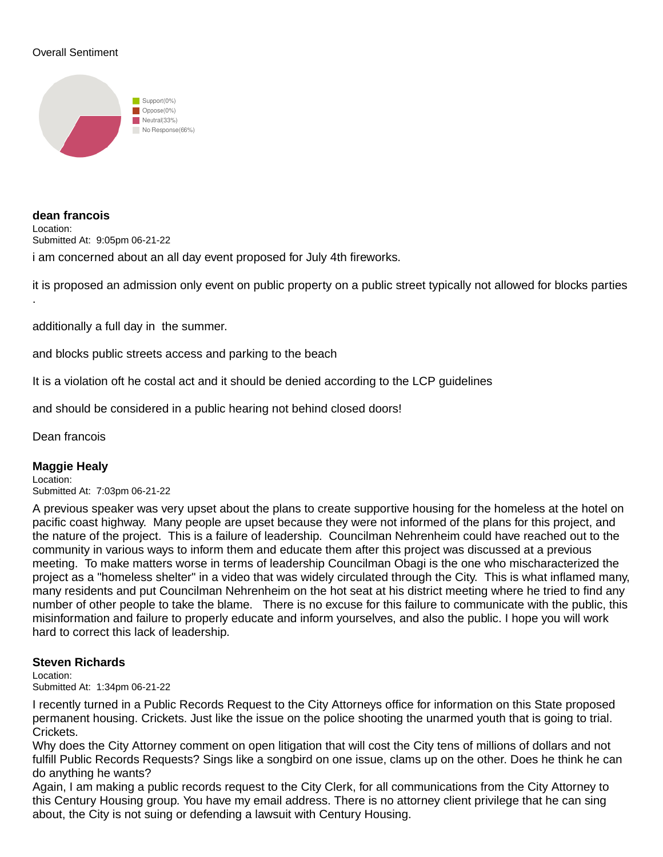## Overall Sentiment



**dean francois** Location: Submitted At: 9:05pm 06-21-22

i am concerned about an all day event proposed for July 4th fireworks.

it is proposed an admission only event on public property on a public street typically not allowed for blocks parties

additionally a full day in the summer.

and blocks public streets access and parking to the beach

It is a violation oft he costal act and it should be denied according to the LCP guidelines

and should be considered in a public hearing not behind closed doors!

Dean francois

.

## **Maggie Healy**

Location: Submitted At: 7:03pm 06-21-22

A previous speaker was very upset about the plans to create supportive housing for the homeless at the hotel on pacific coast highway. Many people are upset because they were not informed of the plans for this project, and the nature of the project. This is a failure of leadership. Councilman Nehrenheim could have reached out to the community in various ways to inform them and educate them after this project was discussed at a previous meeting. To make matters worse in terms of leadership Councilman Obagi is the one who mischaracterized the project as a "homeless shelter" in a video that was widely circulated through the City. This is what inflamed many, many residents and put Councilman Nehrenheim on the hot seat at his district meeting where he tried to find any number of other people to take the blame. There is no excuse for this failure to communicate with the public, this misinformation and failure to properly educate and inform yourselves, and also the public. I hope you will work hard to correct this lack of leadership.

#### **Steven Richards**

Location:

Submitted At: 1:34pm 06-21-22

I recently turned in a Public Records Request to the City Attorneys office for information on this State proposed permanent housing. Crickets. Just like the issue on the police shooting the unarmed youth that is going to trial. Crickets.

Why does the City Attorney comment on open litigation that will cost the City tens of millions of dollars and not fulfill Public Records Requests? Sings like a songbird on one issue, clams up on the other. Does he think he can do anything he wants?

Again, I am making a public records request to the City Clerk, for all communications from the City Attorney to this Century Housing group. You have my email address. There is no attorney client privilege that he can sing about, the City is not suing or defending a lawsuit with Century Housing.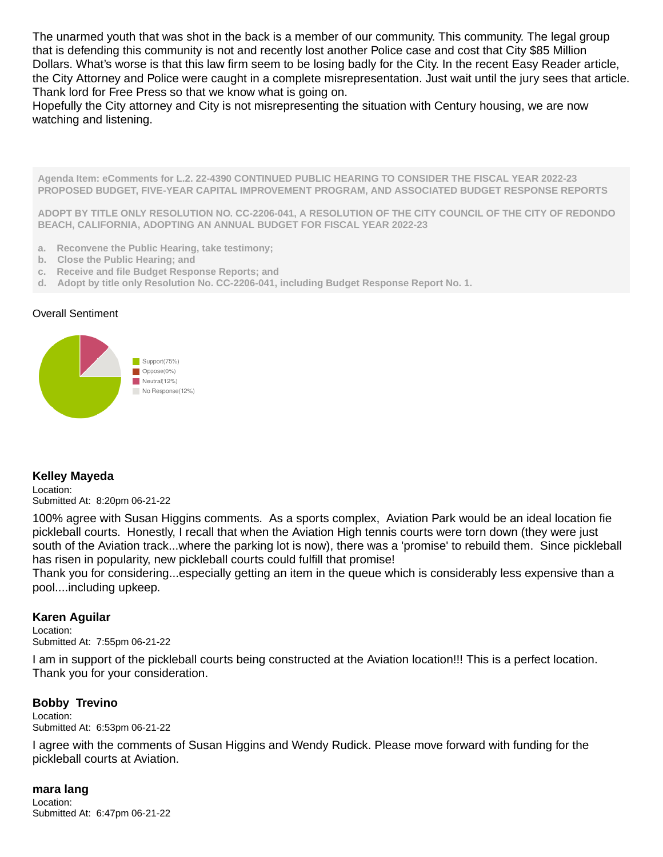The unarmed youth that was shot in the back is a member of our community. This community. The legal group that is defending this community is not and recently lost another Police case and cost that City \$85 Million Dollars. What's worse is that this law firm seem to be losing badly for the City. In the recent Easy Reader article, the City Attorney and Police were caught in a complete misrepresentation. Just wait until the jury sees that article. Thank lord for Free Press so that we know what is going on.

Hopefully the City attorney and City is not misrepresenting the situation with Century housing, we are now watching and listening.

**Agenda Item: eComments for L.2. 22-4390 CONTINUED PUBLIC HEARING TO CONSIDER THE FISCAL YEAR 2022-23 PROPOSED BUDGET, FIVE-YEAR CAPITAL IMPROVEMENT PROGRAM, AND ASSOCIATED BUDGET RESPONSE REPORTS**

**ADOPT BY TITLE ONLY RESOLUTION NO. CC-2206-041, A RESOLUTION OF THE CITY COUNCIL OF THE CITY OF REDONDO BEACH, CALIFORNIA, ADOPTING AN ANNUAL BUDGET FOR FISCAL YEAR 2022-23**

- **a. Reconvene the Public Hearing, take testimony;**
- **b. Close the Public Hearing; and**
- **c. Receive and file Budget Response Reports; and**
- **d. Adopt by title only Resolution No. CC-2206-041, including Budget Response Report No. 1.**

#### Overall Sentiment



## **Kelley Mayeda**

Location: Submitted At: 8:20pm 06-21-22

100% agree with Susan Higgins comments. As a sports complex, Aviation Park would be an ideal location fie pickleball courts. Honestly, I recall that when the Aviation High tennis courts were torn down (they were just south of the Aviation track...where the parking lot is now), there was a 'promise' to rebuild them. Since pickleball has risen in popularity, new pickleball courts could fulfill that promise!

Thank you for considering...especially getting an item in the queue which is considerably less expensive than a pool....including upkeep.

## **Karen Aguilar**

Location:

Submitted At: 7:55pm 06-21-22

I am in support of the pickleball courts being constructed at the Aviation location!!! This is a perfect location. Thank you for your consideration.

## **Bobby Trevino**

Location: Submitted At: 6:53pm 06-21-22

I agree with the comments of Susan Higgins and Wendy Rudick. Please move forward with funding for the pickleball courts at Aviation.

## **mara lang**

Location: Submitted At: 6:47pm 06-21-22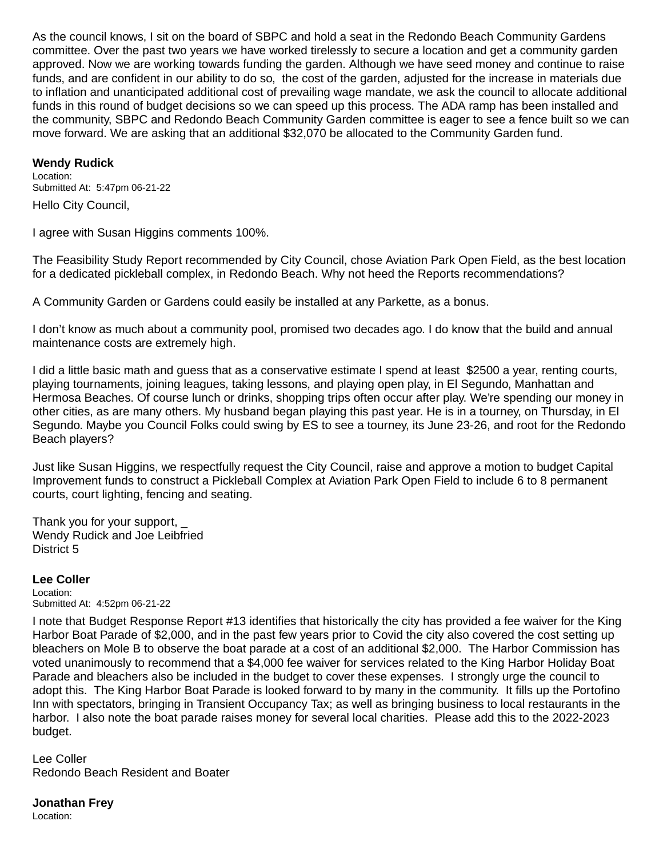As the council knows, I sit on the board of SBPC and hold a seat in the Redondo Beach Community Gardens committee. Over the past two years we have worked tirelessly to secure a location and get a community garden approved. Now we are working towards funding the garden. Although we have seed money and continue to raise funds, and are confident in our ability to do so, the cost of the garden, adjusted for the increase in materials due to inflation and unanticipated additional cost of prevailing wage mandate, we ask the council to allocate additional funds in this round of budget decisions so we can speed up this process. The ADA ramp has been installed and the community, SBPC and Redondo Beach Community Garden committee is eager to see a fence built so we can move forward. We are asking that an additional \$32,070 be allocated to the Community Garden fund.

## **Wendy Rudick**

Location: Submitted At: 5:47pm 06-21-22 Hello City Council,

I agree with Susan Higgins comments 100%.

The Feasibility Study Report recommended by City Council, chose Aviation Park Open Field, as the best location for a dedicated pickleball complex, in Redondo Beach. Why not heed the Reports recommendations?

A Community Garden or Gardens could easily be installed at any Parkette, as a bonus.

I don't know as much about a community pool, promised two decades ago. I do know that the build and annual maintenance costs are extremely high.

I did a little basic math and quess that as a conservative estimate I spend at least \$2500 a year, renting courts, playing tournaments, joining leagues, taking lessons, and playing open play, in El Segundo, Manhattan and Hermosa Beaches. Of course lunch or drinks, shopping trips often occur after play. We're spending our money in other cities, as are many others. My husband began playing this past year. He is in a tourney, on Thursday, in El Segundo. Maybe you Council Folks could swing by ES to see a tourney, its June 23-26, and root for the Redondo Beach players?

Just like Susan Higgins, we respectfully request the City Council, raise and approve a motion to budget Capital Improvement funds to construct a Pickleball Complex at Aviation Park Open Field to include 6 to 8 permanent courts, court lighting, fencing and seating.

Thank you for your support, \_ Wendy Rudick and Joe Leibfried District 5

#### **Lee Coller** Location: Submitted At: 4:52pm 06-21-22

I note that Budget Response Report #13 identifies that historically the city has provided a fee waiver for the King Harbor Boat Parade of \$2,000, and in the past few years prior to Covid the city also covered the cost setting up bleachers on Mole B to observe the boat parade at a cost of an additional \$2,000. The Harbor Commission has voted unanimously to recommend that a \$4,000 fee waiver for services related to the King Harbor Holiday Boat Parade and bleachers also be included in the budget to cover these expenses. I strongly urge the council to adopt this. The King Harbor Boat Parade is looked forward to by many in the community. It fills up the Portofino Inn with spectators, bringing in Transient Occupancy Tax; as well as bringing business to local restaurants in the harbor. I also note the boat parade raises money for several local charities. Please add this to the 2022-2023 budget.

Lee Coller Redondo Beach Resident and Boater

**Jonathan Frey**

Location: